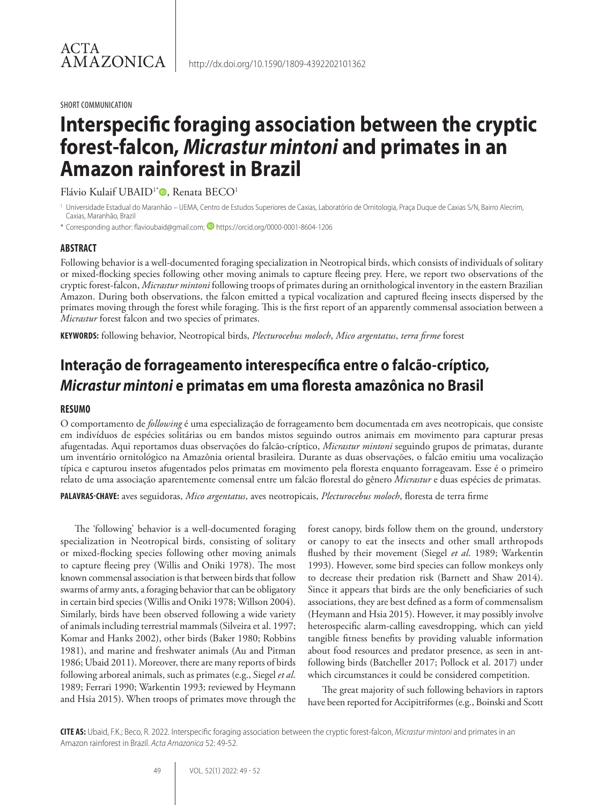SHORT COMMUNICATION

# **Interspecific foraging association between the cryptic forest-falcon,** *Micrastur mintoni* **and primates in an Amazon rainforest in Brazil**

Flávio Kulaif UBAID<sup>1\*</sup><sup>0</sup>, Renata BECO<sup>1</sup>

<sup>1</sup> Universidade Estadual do Maranhão – UEMA, Centro de Estudos Superiores de Caxias, Laboratório de Ornitologia, Praça Duque de Caxias S/N, Bairro Alecrim, Caxias, Maranhão, Brazil

\* Corresponding author: flavioubaid@gmail.com; https://orcid.org/0000-0001-8604-1206

### **ABSTRACT**

Following behavior is a well-documented foraging specialization in Neotropical birds, which consists of individuals of solitary or mixed-flocking species following other moving animals to capture fleeing prey. Here, we report two observations of the cryptic forest-falcon, *Micrastur mintoni* following troops of primates during an ornithological inventory in the eastern Brazilian Amazon. During both observations, the falcon emitted a typical vocalization and captured fleeing insects dispersed by the primates moving through the forest while foraging. This is the first report of an apparently commensal association between a *Micrastur* forest falcon and two species of primates.

**KEYWORDS:** following behavior, Neotropical birds, *Plecturocebus moloch*, *Mico argentatus*, *terra firme* forest

# **Interação de forrageamento interespecífica entre o falcão-críptico,**  *Micrastur mintoni* **e primatas em uma floresta amazônica no Brasil**

#### **RESUMO**

O comportamento de *following* é uma especialização de forrageamento bem documentada em aves neotropicais, que consiste em indivíduos de espécies solitárias ou em bandos mistos seguindo outros animais em movimento para capturar presas afugentadas. Aqui reportamos duas observações do falcão-críptico, *Micrastur mintoni* seguindo grupos de primatas, durante um inventário ornitológico na Amazônia oriental brasileira. Durante as duas observações, o falcão emitiu uma vocalização típica e capturou insetos afugentados pelos primatas em movimento pela floresta enquanto forrageavam. Esse é o primeiro relato de uma associação aparentemente comensal entre um falcão florestal do gênero *Micrastur* e duas espécies de primatas.

**PALAVRAS-CHAVE:** aves seguidoras, *Mico argentatus*, aves neotropicais, *Plecturocebus moloch*, floresta de terra firme

The 'following' behavior is a well-documented foraging specialization in Neotropical birds, consisting of solitary or mixed-flocking species following other moving animals to capture fleeing prey (Willis and Oniki 1978). The most known commensal association is that between birds that follow swarms of army ants, a foraging behavior that can be obligatory in certain bird species (Willis and Oniki 1978; Willson 2004). Similarly, birds have been observed following a wide variety of animals including terrestrial mammals (Silveira et al. 1997; Komar and Hanks 2002), other birds (Baker 1980; Robbins 1981), and marine and freshwater animals (Au and Pitman 1986; Ubaid 2011). Moreover, there are many reports of birds following arboreal animals, such as primates (e.g., Siegel *et al*. 1989; Ferrari 1990; Warkentin 1993; reviewed by Heymann and Hsia 2015). When troops of primates move through the

forest canopy, birds follow them on the ground, understory or canopy to eat the insects and other small arthropods flushed by their movement (Siegel *et al*. 1989; Warkentin 1993). However, some bird species can follow monkeys only to decrease their predation risk (Barnett and Shaw 2014). Since it appears that birds are the only beneficiaries of such associations, they are best defined as a form of commensalism (Heymann and Hsia 2015). However, it may possibly involve heterospecific alarm-calling eavesdropping, which can yield tangible fitness benefits by providing valuable information about food resources and predator presence, as seen in antfollowing birds (Batcheller 2017; Pollock et al. 2017) under which circumstances it could be considered competition.

The great majority of such following behaviors in raptors have been reported for Accipitriformes (e.g., Boinski and Scott

**CITE AS:** Ubaid, F.K.; Beco, R. 2022. Interspecific foraging association between the cryptic forest-falcon, *Micrastur mintoni* and primates in an Amazon rainforest in Brazil. *Acta Amazonica* 52: 49-52.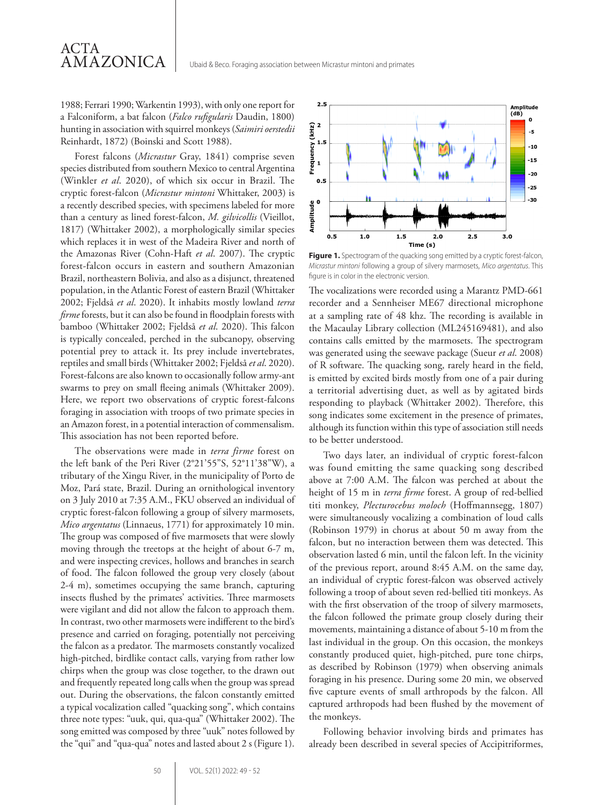1988; Ferrari 1990; Warkentin 1993), with only one report for a Falconiform, a bat falcon (*Falco rufigularis* Daudin, 1800) hunting in association with squirrel monkeys (*Saimiri oerstedii* Reinhardt, 1872) (Boinski and Scott 1988).

ACTA

AMAZONICA

Forest falcons (*Micrastur* Gray, 1841) comprise seven species distributed from southern Mexico to central Argentina (Winkler *et al*. 2020), of which six occur in Brazil. The cryptic forest-falcon (*Micrastur mintoni* Whittaker, 2003) is a recently described species, with specimens labeled for more than a century as lined forest-falcon, *M. gilvicollis* (Vieillot, 1817) (Whittaker 2002), a morphologically similar species which replaces it in west of the Madeira River and north of the Amazonas River (Cohn-Haft *et al*. 2007). The cryptic forest-falcon occurs in eastern and southern Amazonian Brazil, northeastern Bolivia, and also as a disjunct, threatened population, in the Atlantic Forest of eastern Brazil (Whittaker 2002; Fjeldså *et al*. 2020). It inhabits mostly lowland *terra firme* forests, but it can also be found in floodplain forests with bamboo (Whittaker 2002; Fjeldså *et al*. 2020). This falcon is typically concealed, perched in the subcanopy, observing potential prey to attack it. Its prey include invertebrates, reptiles and small birds (Whittaker 2002; Fjeldså *et al*. 2020). Forest-falcons are also known to occasionally follow army-ant swarms to prey on small fleeing animals (Whittaker 2009). Here, we report two observations of cryptic forest-falcons foraging in association with troops of two primate species in an Amazon forest, in a potential interaction of commensalism. This association has not been reported before.

The observations were made in *terra firme* forest on the left bank of the Peri River (2°21'55"S, 52°11'38"W), a tributary of the Xingu River, in the municipality of Porto de Moz, Pará state, Brazil. During an ornithological inventory on 3 July 2010 at 7:35 A.M., FKU observed an individual of cryptic forest-falcon following a group of silvery marmosets, *Mico argentatus* (Linnaeus, 1771) for approximately 10 min. The group was composed of five marmosets that were slowly moving through the treetops at the height of about 6-7 m, and were inspecting crevices, hollows and branches in search of food. The falcon followed the group very closely (about 2-4 m), sometimes occupying the same branch, capturing insects flushed by the primates' activities. Three marmosets were vigilant and did not allow the falcon to approach them. In contrast, two other marmosets were indifferent to the bird's presence and carried on foraging, potentially not perceiving the falcon as a predator. The marmosets constantly vocalized high-pitched, birdlike contact calls, varying from rather low chirps when the group was close together, to the drawn out and frequently repeated long calls when the group was spread out. During the observations, the falcon constantly emitted a typical vocalization called "quacking song", which contains three note types: "uuk, qui, qua-qua" (Whittaker 2002). The song emitted was composed by three "uuk" notes followed by the "qui" and "qua-qua" notes and lasted about 2 s (Figure 1).



**Figure 1.** Spectrogram of the quacking song emitted by a cryptic forest-falcon, *Micrastur mintoni* following a group of silvery marmosets, *Mico argentatus*. This figure is in color in the electronic version.

The vocalizations were recorded using a Marantz PMD-661 recorder and a Sennheiser ME67 directional microphone at a sampling rate of 48 khz. The recording is available in the Macaulay Library collection (ML245169481), and also contains calls emitted by the marmosets. The spectrogram was generated using the seewave package (Sueur *et al*. 2008) of R software. The quacking song, rarely heard in the field, is emitted by excited birds mostly from one of a pair during a territorial advertising duet, as well as by agitated birds responding to playback (Whittaker 2002). Therefore, this song indicates some excitement in the presence of primates, although its function within this type of association still needs to be better understood.

Two days later, an individual of cryptic forest-falcon was found emitting the same quacking song described above at 7:00 A.M. The falcon was perched at about the height of 15 m in *terra firme* forest. A group of red-bellied titi monkey, *Plecturocebus moloch* (Hoffmannsegg, 1807) were simultaneously vocalizing a combination of loud calls (Robinson 1979) in chorus at about 50 m away from the falcon, but no interaction between them was detected. This observation lasted 6 min, until the falcon left. In the vicinity of the previous report, around 8:45 A.M. on the same day, an individual of cryptic forest-falcon was observed actively following a troop of about seven red-bellied titi monkeys. As with the first observation of the troop of silvery marmosets, the falcon followed the primate group closely during their movements, maintaining a distance of about 5-10 m from the last individual in the group. On this occasion, the monkeys constantly produced quiet, high-pitched, pure tone chirps, as described by Robinson (1979) when observing animals foraging in his presence. During some 20 min, we observed five capture events of small arthropods by the falcon. All captured arthropods had been flushed by the movement of the monkeys.

Following behavior involving birds and primates has already been described in several species of Accipitriformes,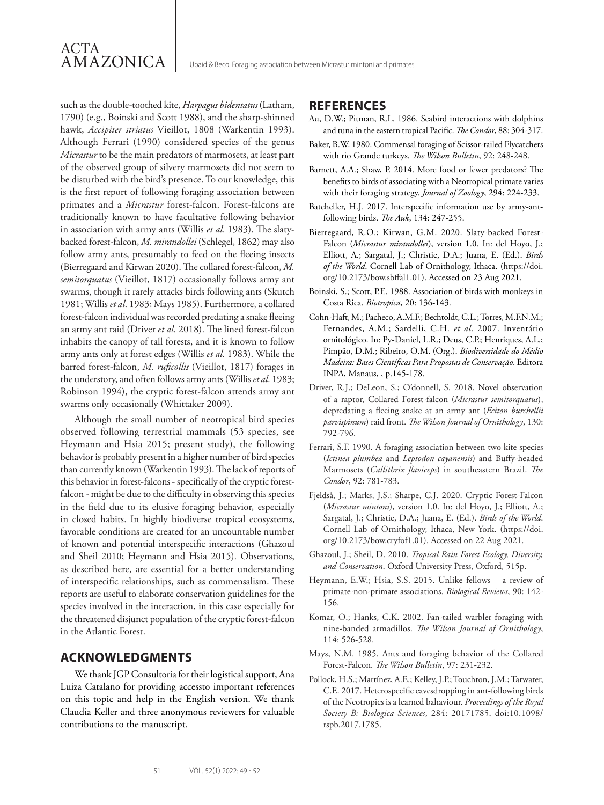such as the double-toothed kite, *Harpagus bidentatus* (Latham, 1790) (e.g., Boinski and Scott 1988), and the sharp-shinned hawk, *Accipiter striatus* Vieillot, 1808 (Warkentin 1993). Although Ferrari (1990) considered species of the genus *Micrastur* to be the main predators of marmosets, at least part of the observed group of silvery marmosets did not seem to be disturbed with the bird's presence. To our knowledge, this is the first report of following foraging association between primates and a *Micrastur* forest-falcon. Forest-falcons are traditionally known to have facultative following behavior in association with army ants (Willis *et al*. 1983). The slatybacked forest-falcon, *M. mirandollei* (Schlegel, 1862) may also follow army ants, presumably to feed on the fleeing insects (Bierregaard and Kirwan 2020). The collared forest-falcon, *M. semitorquatus* (Vieillot, 1817) occasionally follows army ant swarms, though it rarely attacks birds following ants (Skutch 1981; Willis *et al*. 1983; Mays 1985). Furthermore, a collared forest-falcon individual was recorded predating a snake fleeing an army ant raid (Driver *et al*. 2018). The lined forest-falcon inhabits the canopy of tall forests, and it is known to follow army ants only at forest edges (Willis *et al*. 1983). While the barred forest-falcon, *M. ruficollis* (Vieillot, 1817) forages in the understory, and often follows army ants (Willis *et al*. 1983; Robinson 1994), the cryptic forest-falcon attends army ant swarms only occasionally (Whittaker 2009).

Although the small number of neotropical bird species observed following terrestrial mammals (53 species, see Heymann and Hsia 2015; present study), the following behavior is probably present in a higher number of bird species than currently known (Warkentin 1993). The lack of reports of this behavior in forest-falcons - specifically of the cryptic forestfalcon - might be due to the difficulty in observing this species in the field due to its elusive foraging behavior, especially in closed habits. In highly biodiverse tropical ecosystems, favorable conditions are created for an uncountable number of known and potential interspecific interactions (Ghazoul and Sheil 2010; Heymann and Hsia 2015). Observations, as described here, are essential for a better understanding of interspecific relationships, such as commensalism. These reports are useful to elaborate conservation guidelines for the species involved in the interaction, in this case especially for the threatened disjunct population of the cryptic forest-falcon in the Atlantic Forest.

# **ACKNOWLEDGMENTS**

We thank JGP Consultoria for their logistical support, Ana Luiza Catalano for providing accessto important references on this topic and help in the English version. We thank Claudia Keller and three anonymous reviewers for valuable contributions to the manuscript.

## **REFERENCES**

- Au, D.W.; Pitman, R.L. 1986. Seabird interactions with dolphins and tuna in the eastern tropical Pacific. *The Condor*, 88: 304-317.
- Baker, B.W. 1980. Commensal foraging of Scissor-tailed Flycatchers with rio Grande turkeys. *The Wilson Bulletin*, 92: 248-248.
- Barnett, A.A.; Shaw, P. 2014. More food or fewer predators? The benefits to birds of associating with a Neotropical primate varies with their foraging strategy. *Journal of Zoology*, 294: 224-233.
- Batcheller, H.J. 2017. Interspecific information use by army-antfollowing birds. *The Auk*, 134: 247-255.
- Bierregaard, R.O.; Kirwan, G.M. 2020. Slaty-backed Forest-Falcon (*Micrastur mirandollei*), version 1.0. In: del Hoyo, J.; Elliott, A.; Sargatal, J.; Christie, D.A.; Juana, E. (Ed.). *Birds of the World*. Cornell Lab of Ornithology, Ithaca. (https://doi. org/10.2173/bow.sbffal1.01). Accessed on 23 Aug 2021.
- Boinski, S.; Scott, P.E. 1988. Association of birds with monkeys in Costa Rica. *Biotropica*, 20: 136-143.
- Cohn-Haft, M.; Pacheco, A.M.F.; Bechtoldt, C.L.; Torres, M.F.N.M.; Fernandes, A.M.; Sardelli, C.H. *et al*. 2007. Inventário ornitológico. In: Py-Daniel, L.R.; Deus, C.P.; Henriques, A.L.; Pimpão, D.M.; Ribeiro, O.M. (Org.). *Biodiversidade do Médio Madeira: Bases Científicas Para Propostas de Conservação*. Editora INPA, Manaus, , p.145-178.
- Driver, R.J.; DeLeon, S.; O'donnell, S. 2018. Novel observation of a raptor, Collared Forest-falcon (*Micrastur semitorquatus*), depredating a fleeing snake at an army ant (*Eciton burchellii parvispinum*) raid front. *The Wilson Journal of Ornithology*, 130: 792-796.
- Ferrari, S.F. 1990. A foraging association between two kite species (*Ictinea plumbea* and *Leptodon cayanensis*) and Buffy-headed Marmosets (*Callithrix flaviceps*) in southeastern Brazil. *The Condor*, 92: 781-783.
- Fjeldså, J.; Marks, J.S.; Sharpe, C.J. 2020. Cryptic Forest-Falcon (*Micrastur mintoni*), version 1.0. In: del Hoyo, J.; Elliott, A.; Sargatal, J.; Christie, D.A.; Juana, E. (Ed.). *Birds of the World*. Cornell Lab of Ornithology, Ithaca, New York. (https://doi. org/10.2173/bow.cryfof1.01). Accessed on 22 Aug 2021.
- Ghazoul, J.; Sheil, D. 2010. *Tropical Rain Forest Ecology, Diversity, and Conservation*. Oxford University Press, Oxford, 515p.
- Heymann, E.W.; Hsia, S.S. 2015. Unlike fellows a review of primate-non-primate associations. *Biological Reviews*, 90: 142- 156.
- Komar, O.; Hanks, C.K. 2002. Fan-tailed warbler foraging with nine-banded armadillos. *The Wilson Journal of Ornithology*, 114: 526-528.
- Mays, N.M. 1985. Ants and foraging behavior of the Collared Forest-Falcon. *The Wilson Bulletin*, 97: 231-232.
- Pollock, H.S.; Martínez, A.E.; Kelley, J.P.; Touchton, J.M.; Tarwater, C.E. 2017. Heterospecific eavesdropping in ant-following birds of the Neotropics is a learned bahaviour. *Proceedings of the Royal Society B: Biologica Sciences*, 284: 20171785. doi:10.1098/ rspb.2017.1785.